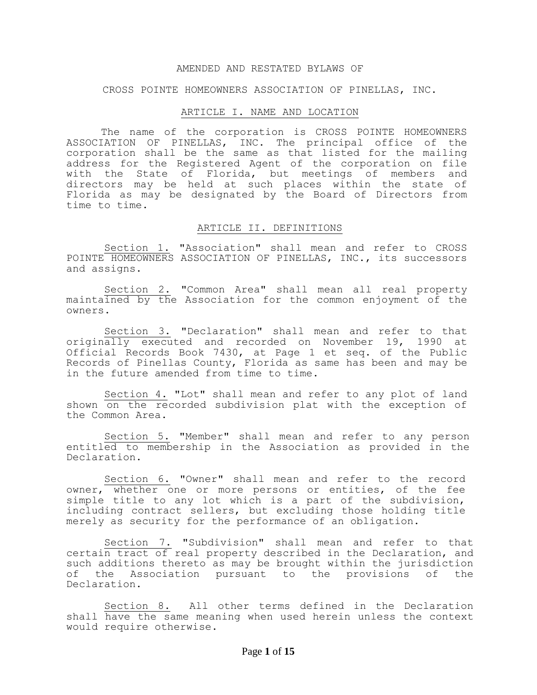#### AMENDED AND RESTATED BYLAWS OF

#### CROSS POINTE HOMEOWNERS ASSOCIATION OF PINELLAS, INC.

### ARTICLE I. NAME AND LOCATION

The name of the corporation is CROSS POINTE HOMEOWNERS ASSOCIATION OF PINELLAS, INC. The principal office of the corporation shall be the same as that listed for the mailing address for the Registered Agent of the corporation on file with the State of Florida, but meetings of members and directors may be held at such places within the state of Florida as may be designated by the Board of Directors from time to time.

#### ARTICLE II. DEFINITIONS

Section 1. "Association" shall mean and refer to CROSS POINTE HOMEOWNERS ASSOCIATION OF PINELLAS, INC., its successors and assigns.

Section 2. "Common Area" shall mean all real property maintained by the Association for the common enjoyment of the owners.

Section 3. "Declaration" shall mean and refer to that originally executed and recorded on November 19, 1990 at Official Records Book 7430, at Page 1 et seq. of the Public Records of Pinellas County, Florida as same has been and may be in the future amended from time to time.

Section 4. "Lot" shall mean and refer to any plot of land shown on the recorded subdivision plat with the exception of the Common Area.

Section 5. "Member" shall mean and refer to any person entitled to membership in the Association as provided in the Declaration.

Section 6. "Owner" shall mean and refer to the record owner, whether one or more persons or entities, of the fee simple title to any lot which is a part of the subdivision, including contract sellers, but excluding those holding title merely as security for the performance of an obligation.

Section 7. "Subdivision" shall mean and refer to that certain tract of real property described in the Declaration, and such additions thereto as may be brought within the jurisdiction of the Association pursuant to the provisions of the Declaration.

Section 8. All other terms defined in the Declaration shall have the same meaning when used herein unless the context would require otherwise.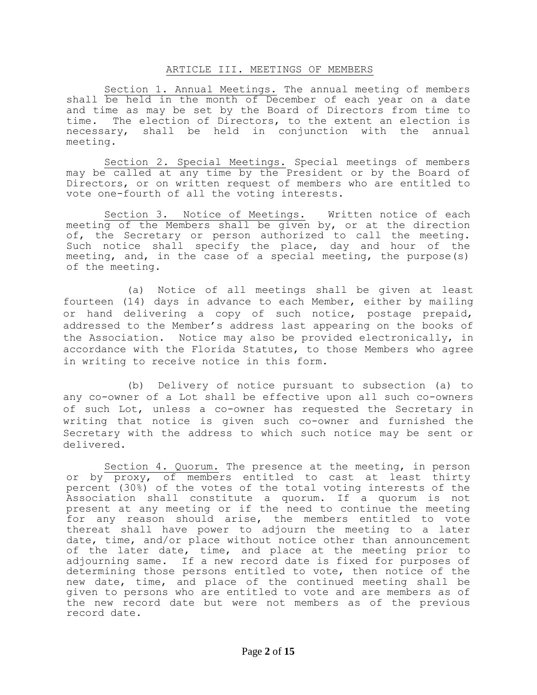## ARTICLE III. MEETINGS OF MEMBERS

Section 1. Annual Meetings. The annual meeting of members shall be held in the month of December of each year on a date and time as may be set by the Board of Directors from time to time. The election of Directors, to the extent an election is necessary, shall be held in conjunction with the annual meeting.

Section 2. Special Meetings. Special meetings of members may be called at any time by the President or by the Board of Directors, or on written request of members who are entitled to vote one-fourth of all the voting interests.

Section 3. Notice of Meetings. Written notice of each meeting of the Members shall be given by, or at the direction of, the Secretary or person authorized to call the meeting. Such notice shall specify the place, day and hour of the meeting, and, in the case of a special meeting, the purpose(s) of the meeting.

(a) Notice of all meetings shall be given at least fourteen (14) days in advance to each Member, either by mailing or hand delivering a copy of such notice, postage prepaid, addressed to the Member's address last appearing on the books of the Association. Notice may also be provided electronically, in accordance with the Florida Statutes, to those Members who agree in writing to receive notice in this form.

(b) Delivery of notice pursuant to subsection (a) to any co-owner of a Lot shall be effective upon all such co-owners of such Lot, unless a co-owner has requested the Secretary in writing that notice is given such co-owner and furnished the Secretary with the address to which such notice may be sent or delivered.

Section 4. Quorum. The presence at the meeting, in person or by proxy, of members entitled to cast at least thirty percent (30%) of the votes of the total voting interests of the Association shall constitute a quorum. If a quorum is not present at any meeting or if the need to continue the meeting for any reason should arise, the members entitled to vote thereat shall have power to adjourn the meeting to a later date, time, and/or place without notice other than announcement of the later date, time, and place at the meeting prior to adjourning same. If a new record date is fixed for purposes of determining those persons entitled to vote, then notice of the new date, time, and place of the continued meeting shall be given to persons who are entitled to vote and are members as of the new record date but were not members as of the previous record date.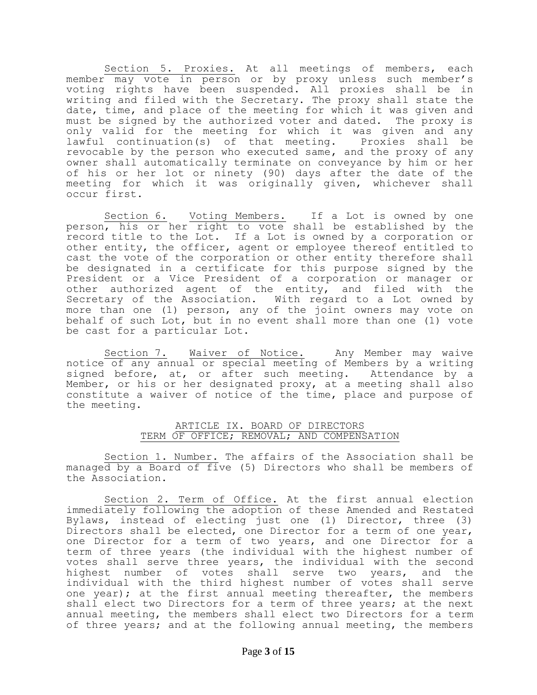Section 5. Proxies. At all meetings of members, each member may vote in person or by proxy unless such member's voting rights have been suspended. All proxies shall be in writing and filed with the Secretary. The proxy shall state the date, time, and place of the meeting for which it was given and must be signed by the authorized voter and dated. The proxy is only valid for the meeting for which it was given and any lawful continuation(s) of that meeting. Proxies shall be revocable by the person who executed same, and the proxy of any owner shall automatically terminate on conveyance by him or her of his or her lot or ninety (90) days after the date of the meeting for which it was originally given, whichever shall occur first.

Section 6. Voting Members. If a Lot is owned by one person, his or her right to vote shall be established by the record title to the Lot. If a Lot is owned by a corporation or other entity, the officer, agent or employee thereof entitled to cast the vote of the corporation or other entity therefore shall be designated in a certificate for this purpose signed by the President or a Vice President of a corporation or manager or other authorized agent of the entity, and filed with the Secretary of the Association. With regard to a Lot owned by more than one (1) person, any of the joint owners may vote on behalf of such Lot, but in no event shall more than one (1) vote be cast for a particular Lot.

Section 7. Waiver of Notice. Any Member may waive notice of any annual or special meeting of Members by a writing signed before, at, or after such meeting. Attendance by a Member, or his or her designated proxy, at a meeting shall also constitute a waiver of notice of the time, place and purpose of the meeting.

## ARTICLE IX. BOARD OF DIRECTORS TERM OF OFFICE; REMOVAL; AND COMPENSATION

Section 1. Number. The affairs of the Association shall be managed by a Board of five (5) Directors who shall be members of the Association.

Section 2. Term of Office. At the first annual election immediately following the adoption of these Amended and Restated Bylaws, instead of electing just one (1) Director, three (3) Directors shall be elected, one Director for a term of one year, one Director for a term of two years, and one Director for a term of three years (the individual with the highest number of votes shall serve three years, the individual with the second highest number of votes shall serve two years, and the individual with the third highest number of votes shall serve one year); at the first annual meeting thereafter, the members shall elect two Directors for a term of three years; at the next annual meeting, the members shall elect two Directors for a term of three years; and at the following annual meeting, the members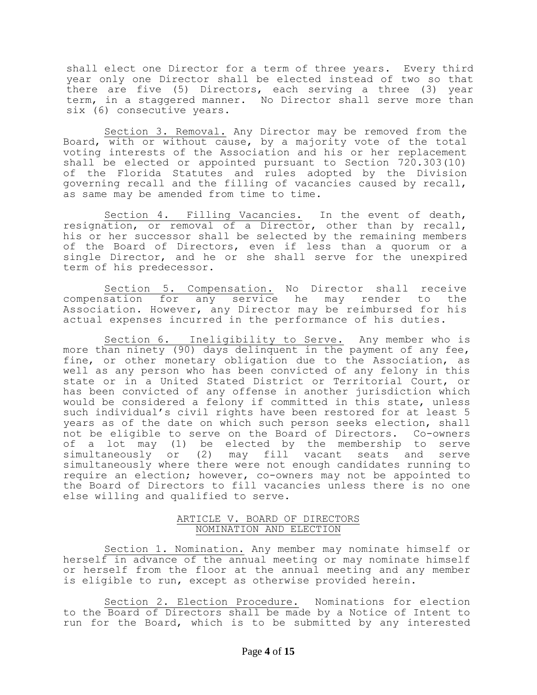shall elect one Director for a term of three years. Every third year only one Director shall be elected instead of two so that there are five (5) Directors, each serving a three (3) year term, in a staggered manner. No Director shall serve more than six (6) consecutive years.

Section 3. Removal. Any Director may be removed from the Board, with or without cause, by a majority vote of the total voting interests of the Association and his or her replacement shall be elected or appointed pursuant to Section 720.303(10) of the Florida Statutes and rules adopted by the Division governing recall and the filling of vacancies caused by recall, as same may be amended from time to time.

Section 4. Filling Vacancies. In the event of death, resignation, or removal of a Director, other than by recall, his or her successor shall be selected by the remaining members of the Board of Directors, even if less than a quorum or a single Director, and he or she shall serve for the unexpired term of his predecessor.

Section 5. Compensation. No Director shall receive compensation for any service he may render to the Association. However, any Director may be reimbursed for his actual expenses incurred in the performance of his duties.

Section 6. Ineligibility to Serve. Any member who is more than ninety (90) days delinquent in the payment of any fee, fine, or other monetary obligation due to the Association, as well as any person who has been convicted of any felony in this state or in a United Stated District or Territorial Court, or has been convicted of any offense in another jurisdiction which would be considered a felony if committed in this state, unless such individual's civil rights have been restored for at least 5 years as of the date on which such person seeks election, shall not be eligible to serve on the Board of Directors. Co-owners of a lot may (1) be elected by the membership to serve simultaneously or (2) may fill vacant seats and serve simultaneously where there were not enough candidates running to require an election; however, co-owners may not be appointed to the Board of Directors to fill vacancies unless there is no one else willing and qualified to serve.

## ARTICLE V. BOARD OF DIRECTORS NOMINATION AND ELECTION

Section 1. Nomination. Any member may nominate himself or herself in advance of the annual meeting or may nominate himself or herself from the floor at the annual meeting and any member is eligible to run, except as otherwise provided herein.

Section 2. Election Procedure. Nominations for election to the Board of Directors shall be made by a Notice of Intent to run for the Board, which is to be submitted by any interested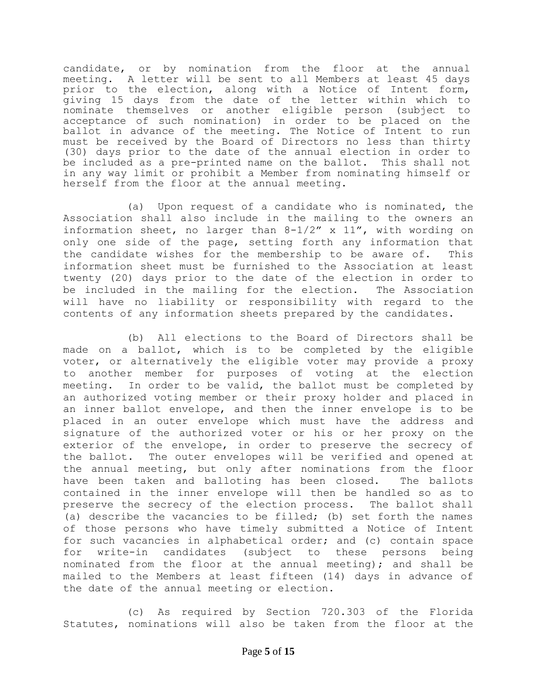candidate, or by nomination from the floor at the annual meeting. A letter will be sent to all Members at least 45 days prior to the election, along with a Notice of Intent form, giving 15 days from the date of the letter within which to nominate themselves or another eligible person (subject to acceptance of such nomination) in order to be placed on the ballot in advance of the meeting. The Notice of Intent to run must be received by the Board of Directors no less than thirty (30) days prior to the date of the annual election in order to be included as a pre-printed name on the ballot. This shall not in any way limit or prohibit a Member from nominating himself or herself from the floor at the annual meeting.

(a) Upon request of a candidate who is nominated, the Association shall also include in the mailing to the owners an information sheet, no larger than 8-1/2" x 11", with wording on only one side of the page, setting forth any information that the candidate wishes for the membership to be aware of. This information sheet must be furnished to the Association at least twenty (20) days prior to the date of the election in order to be included in the mailing for the election. The Association will have no liability or responsibility with regard to the contents of any information sheets prepared by the candidates.

(b) All elections to the Board of Directors shall be made on a ballot, which is to be completed by the eligible voter, or alternatively the eligible voter may provide a proxy to another member for purposes of voting at the election meeting. In order to be valid, the ballot must be completed by an authorized voting member or their proxy holder and placed in an inner ballot envelope, and then the inner envelope is to be placed in an outer envelope which must have the address and signature of the authorized voter or his or her proxy on the exterior of the envelope, in order to preserve the secrecy of the ballot. The outer envelopes will be verified and opened at the annual meeting, but only after nominations from the floor have been taken and balloting has been closed. The ballots contained in the inner envelope will then be handled so as to preserve the secrecy of the election process. The ballot shall (a) describe the vacancies to be filled; (b) set forth the names of those persons who have timely submitted a Notice of Intent for such vacancies in alphabetical order; and (c) contain space for write-in candidates (subject to these persons being nominated from the floor at the annual meeting); and shall be mailed to the Members at least fifteen (14) days in advance of the date of the annual meeting or election.

(c) As required by Section 720.303 of the Florida Statutes, nominations will also be taken from the floor at the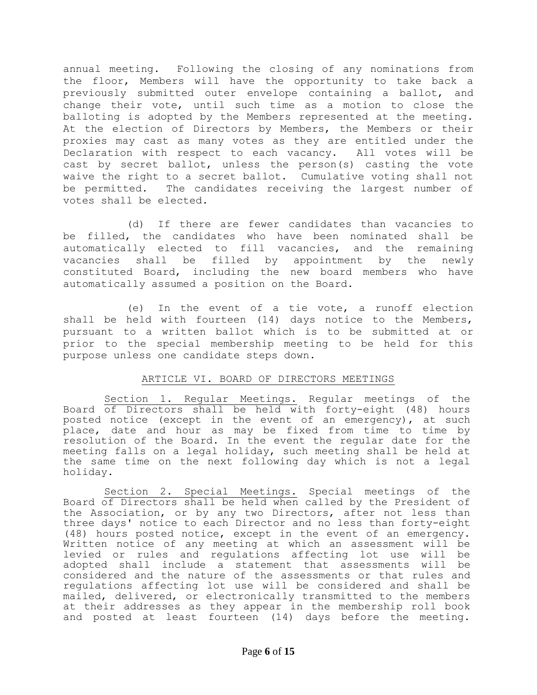annual meeting. Following the closing of any nominations from the floor, Members will have the opportunity to take back a previously submitted outer envelope containing a ballot, and change their vote, until such time as a motion to close the balloting is adopted by the Members represented at the meeting. At the election of Directors by Members, the Members or their proxies may cast as many votes as they are entitled under the Declaration with respect to each vacancy. All votes will be cast by secret ballot, unless the person(s) casting the vote waive the right to a secret ballot. Cumulative voting shall not be permitted. The candidates receiving the largest number of votes shall be elected.

(d) If there are fewer candidates than vacancies to be filled, the candidates who have been nominated shall be automatically elected to fill vacancies, and the remaining vacancies shall be filled by appointment by the newly constituted Board, including the new board members who have automatically assumed a position on the Board.

(e) In the event of a tie vote, a runoff election shall be held with fourteen (14) days notice to the Members, pursuant to a written ballot which is to be submitted at or prior to the special membership meeting to be held for this purpose unless one candidate steps down.

# ARTICLE VI. BOARD OF DIRECTORS MEETINGS

Section 1. Regular Meetings. Regular meetings of the Board of Directors shall be held with forty-eight (48) hours posted notice (except in the event of an emergency), at such place, date and hour as may be fixed from time to time by resolution of the Board. In the event the regular date for the meeting falls on a legal holiday, such meeting shall be held at the same time on the next following day which is not a legal holiday.

Section 2. Special Meetings. Special meetings of the Board of Directors shall be held when called by the President of the Association, or by any two Directors, after not less than three days' notice to each Director and no less than forty-eight (48) hours posted notice, except in the event of an emergency. Written notice of any meeting at which an assessment will be levied or rules and regulations affecting lot use will be adopted shall include a statement that assessments will be considered and the nature of the assessments or that rules and regulations affecting lot use will be considered and shall be mailed, delivered, or electronically transmitted to the members at their addresses as they appear in the membership roll book and posted at least fourteen (14) days before the meeting.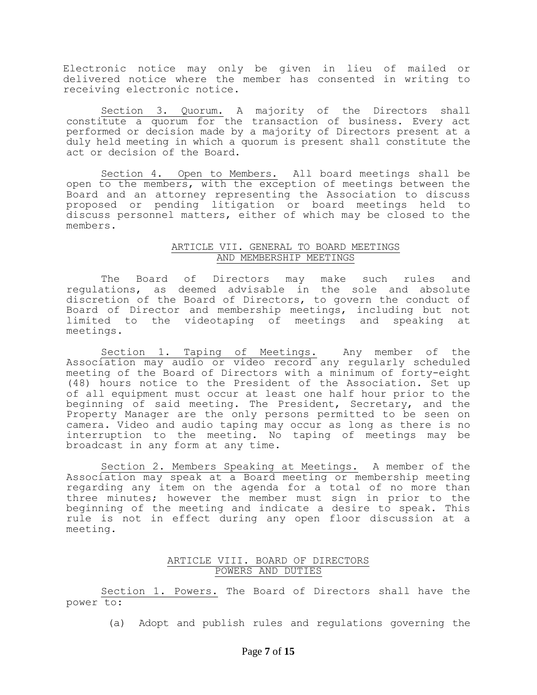Electronic notice may only be given in lieu of mailed or delivered notice where the member has consented in writing to receiving electronic notice.

Section 3. Quorum. A majority of the Directors shall constitute a quorum for the transaction of business. Every act performed or decision made by a majority of Directors present at a duly held meeting in which a quorum is present shall constitute the act or decision of the Board.

Section 4. Open to Members. All board meetings shall be open to the members, with the exception of meetings between the Board and an attorney representing the Association to discuss proposed or pending litigation or board meetings held to discuss personnel matters, either of which may be closed to the members.

# ARTICLE VII. GENERAL TO BOARD MEETINGS AND MEMBERSHIP MEETINGS

The Board of Directors may make such rules and regulations, as deemed advisable in the sole and absolute discretion of the Board of Directors, to govern the conduct of Board of Director and membership meetings, including but not limited to the videotaping of meetings and speaking at meetings.

Section 1. Taping of Meetings. Any member of the Association may audio or video record any regularly scheduled meeting of the Board of Directors with a minimum of forty-eight (48) hours notice to the President of the Association. Set up of all equipment must occur at least one half hour prior to the beginning of said meeting. The President, Secretary, and the Property Manager are the only persons permitted to be seen on camera. Video and audio taping may occur as long as there is no interruption to the meeting. No taping of meetings may be broadcast in any form at any time.

Section 2. Members Speaking at Meetings. A member of the Association may speak at a Board meeting or membership meeting regarding any item on the agenda for a total of no more than three minutes; however the member must sign in prior to the beginning of the meeting and indicate a desire to speak. This rule is not in effect during any open floor discussion at a meeting.

# ARTICLE VIII. BOARD OF DIRECTORS POWERS AND DUTIES

Section 1. Powers. The Board of Directors shall have the power to:

(a) Adopt and publish rules and regulations governing the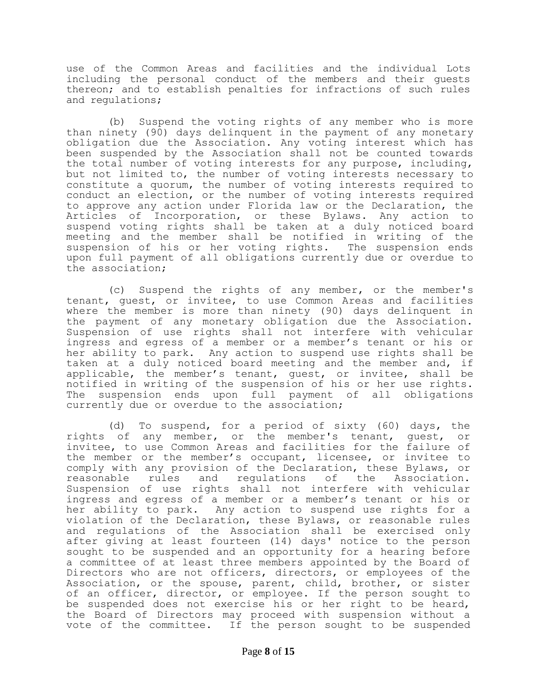use of the Common Areas and facilities and the individual Lots including the personal conduct of the members and their guests thereon; and to establish penalties for infractions of such rules and regulations;

(b) Suspend the voting rights of any member who is more than ninety (90) days delinquent in the payment of any monetary obligation due the Association. Any voting interest which has been suspended by the Association shall not be counted towards the total number of voting interests for any purpose, including, but not limited to, the number of voting interests necessary to constitute a quorum, the number of voting interests required to conduct an election, or the number of voting interests required to approve any action under Florida law or the Declaration, the Articles of Incorporation, or these Bylaws. Any action to suspend voting rights shall be taken at a duly noticed board meeting and the member shall be notified in writing of the suspension of his or her voting rights. The suspension ends upon full payment of all obligations currently due or overdue to the association;

(c) Suspend the rights of any member, or the member's tenant, guest, or invitee, to use Common Areas and facilities where the member is more than ninety (90) days delinquent in the payment of any monetary obligation due the Association. Suspension of use rights shall not interfere with vehicular ingress and egress of a member or a member's tenant or his or her ability to park. Any action to suspend use rights shall be taken at a duly noticed board meeting and the member and, if applicable, the member's tenant, guest, or invitee, shall be notified in writing of the suspension of his or her use rights. The suspension ends upon full payment of all obligations currently due or overdue to the association;

(d) To suspend, for a period of sixty (60) days, the rights of any member, or the member's tenant, guest, or invitee, to use Common Areas and facilities for the failure of the member or the member's occupant, licensee, or invitee to comply with any provision of the Declaration, these Bylaws, or reasonable rules and regulations of the Association. Suspension of use rights shall not interfere with vehicular ingress and egress of a member or a member's tenant or his or her ability to park. Any action to suspend use rights for a violation of the Declaration, these Bylaws, or reasonable rules and regulations of the Association shall be exercised only after giving at least fourteen (14) days' notice to the person sought to be suspended and an opportunity for a hearing before a committee of at least three members appointed by the Board of Directors who are not officers, directors, or employees of the Association, or the spouse, parent, child, brother, or sister of an officer, director, or employee. If the person sought to be suspended does not exercise his or her right to be heard, the Board of Directors may proceed with suspension without a vote of the committee. If the person sought to be suspended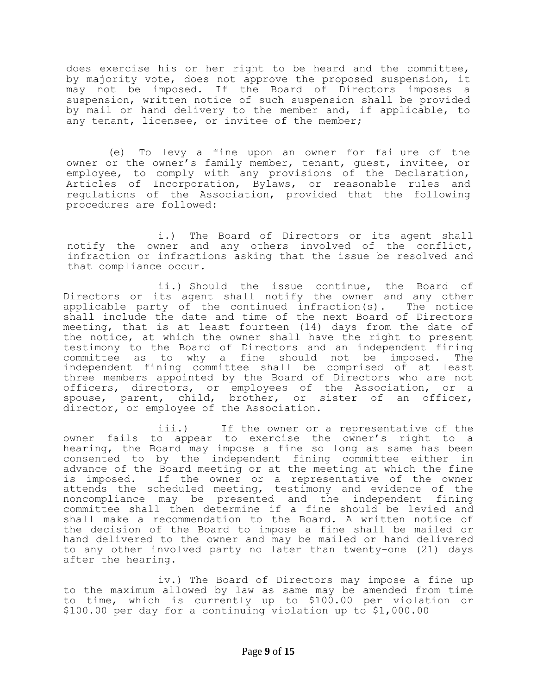does exercise his or her right to be heard and the committee, by majority vote, does not approve the proposed suspension, it may not be imposed. If the Board of Directors imposes a suspension, written notice of such suspension shall be provided by mail or hand delivery to the member and, if applicable, to any tenant, licensee, or invitee of the member;

(e) To levy a fine upon an owner for failure of the owner or the owner's family member, tenant, guest, invitee, or employee, to comply with any provisions of the Declaration, Articles of Incorporation, Bylaws, or reasonable rules and regulations of the Association, provided that the following procedures are followed:

i.) The Board of Directors or its agent shall notify the owner and any others involved of the conflict, infraction or infractions asking that the issue be resolved and that compliance occur.

ii.) Should the issue continue, the Board of Directors or its agent shall notify the owner and any other applicable party of the continued infraction(s). The notice shall include the date and time of the next Board of Directors meeting, that is at least fourteen (14) days from the date of the notice, at which the owner shall have the right to present testimony to the Board of Directors and an independent fining committee as to why a fine should not be imposed. The independent fining committee shall be comprised of at least three members appointed by the Board of Directors who are not officers, directors, or employees of the Association, or a spouse, parent, child, brother, or sister of an officer, director, or employee of the Association.

iii.) If the owner or a representative of the owner fails to appear to exercise the owner's right to a hearing, the Board may impose a fine so long as same has been consented to by the independent fining committee either in advance of the Board meeting or at the meeting at which the fine is imposed. If the owner or a representative of the owner attends the scheduled meeting, testimony and evidence of the noncompliance may be presented and the independent fining committee shall then determine if a fine should be levied and shall make a recommendation to the Board. A written notice of the decision of the Board to impose a fine shall be mailed or hand delivered to the owner and may be mailed or hand delivered to any other involved party no later than twenty-one (21) days after the hearing.

iv.) The Board of Directors may impose a fine up to the maximum allowed by law as same may be amended from time to time, which is currently up to \$100.00 per violation or \$100.00 per day for a continuing violation up to \$1,000.00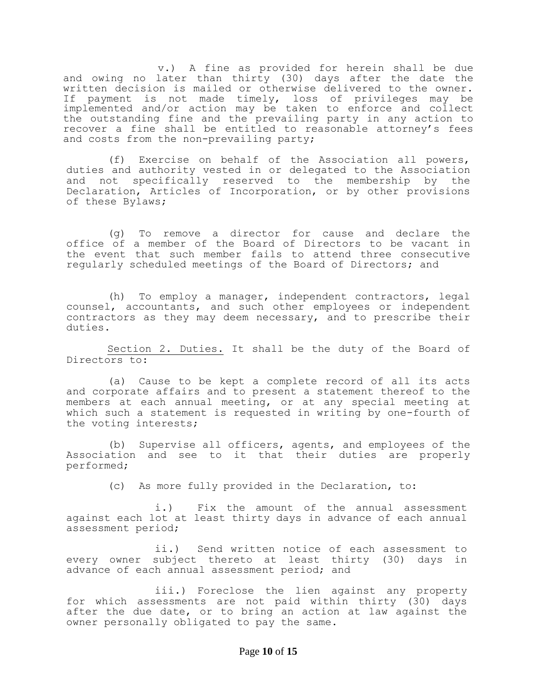v.) A fine as provided for herein shall be due and owing no later than thirty (30) days after the date the written decision is mailed or otherwise delivered to the owner. If payment is not made timely, loss of privileges may be implemented and/or action may be taken to enforce and collect the outstanding fine and the prevailing party in any action to recover a fine shall be entitled to reasonable attorney's fees and costs from the non-prevailing party;

(f) Exercise on behalf of the Association all powers, duties and authority vested in or delegated to the Association and not specifically reserved to the membership by the Declaration, Articles of Incorporation, or by other provisions of these Bylaws;

(g) To remove a director for cause and declare the office of a member of the Board of Directors to be vacant in the event that such member fails to attend three consecutive regularly scheduled meetings of the Board of Directors; and

(h) To employ a manager, independent contractors, legal counsel, accountants, and such other employees or independent contractors as they may deem necessary, and to prescribe their duties.

Section 2. Duties. It shall be the duty of the Board of Directors to:

(a) Cause to be kept a complete record of all its acts and corporate affairs and to present a statement thereof to the members at each annual meeting, or at any special meeting at which such a statement is requested in writing by one-fourth of the voting interests;

(b) Supervise all officers, agents, and employees of the Association and see to it that their duties are properly performed;

(c) As more fully provided in the Declaration, to:

i.) Fix the amount of the annual assessment against each lot at least thirty days in advance of each annual assessment period;

ii.) Send written notice of each assessment to every owner subject thereto at least thirty (30) days in advance of each annual assessment period; and

iii.) Foreclose the lien against any property for which assessments are not paid within thirty (30) days after the due date, or to bring an action at law against the owner personally obligated to pay the same.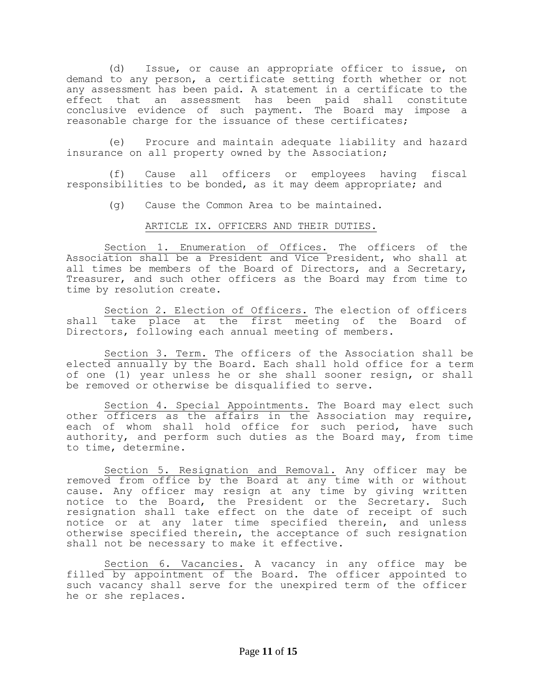(d) Issue, or cause an appropriate officer to issue, on demand to any person, a certificate setting forth whether or not any assessment has been paid. A statement in a certificate to the effect that an assessment has been paid shall constitute conclusive evidence of such payment. The Board may impose a reasonable charge for the issuance of these certificates;

(e) Procure and maintain adequate liability and hazard insurance on all property owned by the Association;

(f) Cause all officers or employees having fiscal responsibilities to be bonded, as it may deem appropriate; and

(g) Cause the Common Area to be maintained.

ARTICLE IX. OFFICERS AND THEIR DUTIES.

Section 1. Enumeration of Offices. The officers of the Association shall be a President and Vice President, who shall at all times be members of the Board of Directors, and a Secretary, Treasurer, and such other officers as the Board may from time to time by resolution create.

Section 2. Election of Officers. The election of officers shall take place at the first meeting of the Board of Directors, following each annual meeting of members.

Section 3. Term. The officers of the Association shall be elected annually by the Board. Each shall hold office for a term of one (1) year unless he or she shall sooner resign, or shall be removed or otherwise be disqualified to serve.

Section 4. Special Appointments. The Board may elect such other officers as the affairs in the Association may require, each of whom shall hold office for such period, have such authority, and perform such duties as the Board may, from time to time, determine.

Section 5. Resignation and Removal. Any officer may be removed from office by the Board at any time with or without cause. Any officer may resign at any time by giving written notice to the Board, the President or the Secretary. Such resignation shall take effect on the date of receipt of such notice or at any later time specified therein, and unless otherwise specified therein, the acceptance of such resignation shall not be necessary to make it effective.

Section 6. Vacancies. A vacancy in any office may be filled by appointment of the Board. The officer appointed to such vacancy shall serve for the unexpired term of the officer he or she replaces.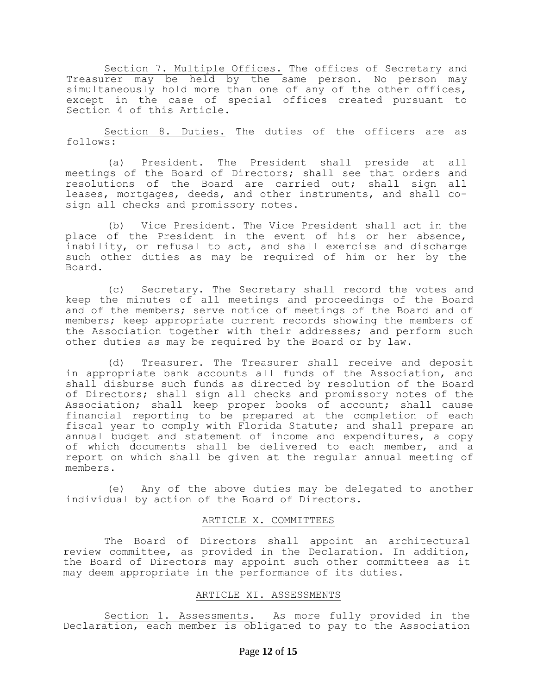Section 7. Multiple Offices. The offices of Secretary and Treasurer may be held by the same person. No person may simultaneously hold more than one of any of the other offices, except in the case of special offices created pursuant to Section 4 of this Article.

Section 8. Duties. The duties of the officers are as follows:

(a) President. The President shall preside at all meetings of the Board of Directors; shall see that orders and resolutions of the Board are carried out; shall sign all leases, mortgages, deeds, and other instruments, and shall cosign all checks and promissory notes.

(b) Vice President. The Vice President shall act in the place of the President in the event of his or her absence, inability, or refusal to act, and shall exercise and discharge such other duties as may be required of him or her by the Board.

(c) Secretary. The Secretary shall record the votes and keep the minutes of all meetings and proceedings of the Board and of the members; serve notice of meetings of the Board and of members; keep appropriate current records showing the members of the Association together with their addresses; and perform such other duties as may be required by the Board or by law.

(d) Treasurer. The Treasurer shall receive and deposit in appropriate bank accounts all funds of the Association, and shall disburse such funds as directed by resolution of the Board of Directors; shall sign all checks and promissory notes of the Association; shall keep proper books of account; shall cause financial reporting to be prepared at the completion of each fiscal year to comply with Florida Statute; and shall prepare an annual budget and statement of income and expenditures, a copy of which documents shall be delivered to each member, and a report on which shall be given at the regular annual meeting of members.

(e) Any of the above duties may be delegated to another individual by action of the Board of Directors.

## ARTICLE X. COMMITTEES

The Board of Directors shall appoint an architectural review committee, as provided in the Declaration. In addition, the Board of Directors may appoint such other committees as it may deem appropriate in the performance of its duties.

# ARTICLE XI. ASSESSMENTS

Section 1. Assessments. As more fully provided in the Declaration, each member is obligated to pay to the Association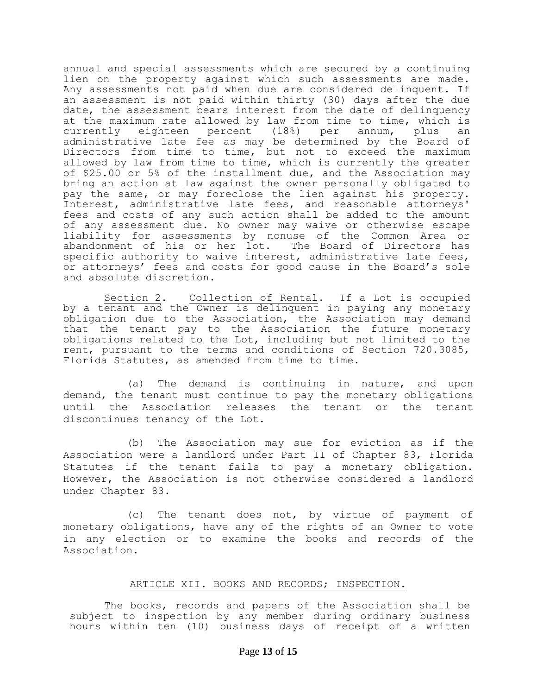annual and special assessments which are secured by a continuing lien on the property against which such assessments are made. Any assessments not paid when due are considered delinquent. If an assessment is not paid within thirty (30) days after the due date, the assessment bears interest from the date of delinquency at the maximum rate allowed by law from time to time, which is currently eighteen percent (18%) per annum, plus an administrative late fee as may be determined by the Board of Directors from time to time, but not to exceed the maximum allowed by law from time to time, which is currently the greater of \$25.00 or 5% of the installment due, and the Association may bring an action at law against the owner personally obligated to pay the same, or may foreclose the lien against his property. Interest, administrative late fees, and reasonable attorneys' fees and costs of any such action shall be added to the amount of any assessment due. No owner may waive or otherwise escape liability for assessments by nonuse of the Common Area or abandonment of his or her lot. The Board of Directors has specific authority to waive interest, administrative late fees, or attorneys' fees and costs for good cause in the Board's sole and absolute discretion.

Section 2. Collection of Rental. If a Lot is occupied by a tenant and the Owner is delinquent in paying any monetary obligation due to the Association, the Association may demand that the tenant pay to the Association the future monetary obligations related to the Lot, including but not limited to the rent, pursuant to the terms and conditions of Section 720.3085, Florida Statutes, as amended from time to time.

(a) The demand is continuing in nature, and upon demand, the tenant must continue to pay the monetary obligations until the Association releases the tenant or the tenant discontinues tenancy of the Lot.

(b) The Association may sue for eviction as if the Association were a landlord under Part II of Chapter 83, Florida Statutes if the tenant fails to pay a monetary obligation. However, the Association is not otherwise considered a landlord under Chapter 83.

(c) The tenant does not, by virtue of payment of monetary obligations, have any of the rights of an Owner to vote in any election or to examine the books and records of the Association.

# ARTICLE XII. BOOKS AND RECORDS; INSPECTION.

The books, records and papers of the Association shall be subject to inspection by any member during ordinary business hours within ten (10) business days of receipt of a written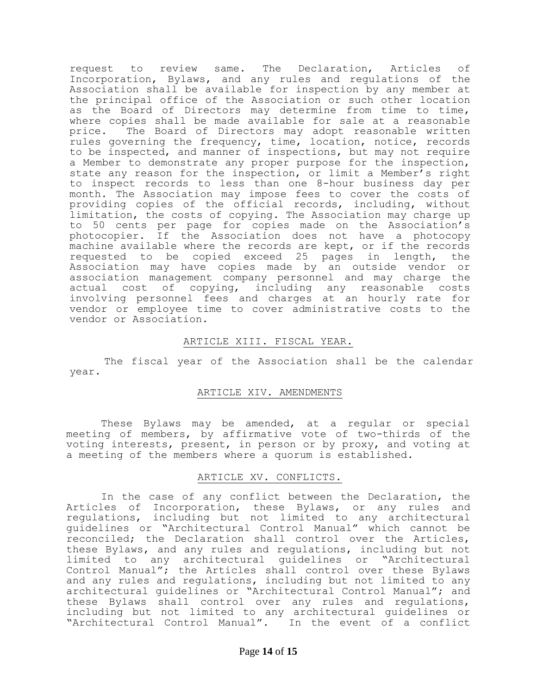request to review same. The Declaration, Articles of Incorporation, Bylaws, and any rules and regulations of the Association shall be available for inspection by any member at the principal office of the Association or such other location as the Board of Directors may determine from time to time, where copies shall be made available for sale at a reasonable price. The Board of Directors may adopt reasonable written rules governing the frequency, time, location, notice, records to be inspected, and manner of inspections, but may not require a Member to demonstrate any proper purpose for the inspection, state any reason for the inspection, or limit a Member's right to inspect records to less than one 8-hour business day per month. The Association may impose fees to cover the costs of providing copies of the official records, including, without limitation, the costs of copying. The Association may charge up to 50 cents per page for copies made on the Association's photocopier. If the Association does not have a photocopy machine available where the records are kept, or if the records requested to be copied exceed 25 pages in length, the Association may have copies made by an outside vendor or association management company personnel and may charge the actual cost of copying, including any reasonable costs involving personnel fees and charges at an hourly rate for vendor or employee time to cover administrative costs to the vendor or Association.

# ARTICLE XIII. FISCAL YEAR.

The fiscal year of the Association shall be the calendar year.

## ARTICLE XIV. AMENDMENTS

These Bylaws may be amended, at a regular or special meeting of members, by affirmative vote of two-thirds of the voting interests, present, in person or by proxy, and voting at a meeting of the members where a quorum is established.

## ARTICLE XV. CONFLICTS.

In the case of any conflict between the Declaration, the Articles of Incorporation, these Bylaws, or any rules and regulations, including but not limited to any architectural guidelines or "Architectural Control Manual" which cannot be reconciled; the Declaration shall control over the Articles, these Bylaws, and any rules and regulations, including but not limited to any architectural guidelines or "Architectural Control Manual"; the Articles shall control over these Bylaws and any rules and regulations, including but not limited to any architectural guidelines or "Architectural Control Manual"; and these Bylaws shall control over any rules and regulations, including but not limited to any architectural guidelines or "Architectural Control Manual". In the event of a conflict